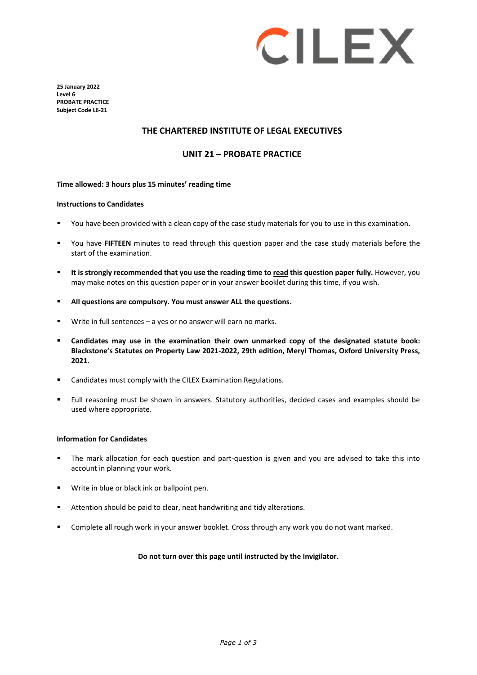

**25 January 2022 Level 6 PROBATE PRACTICE Subject Code L6-21**

### **THE CHARTERED INSTITUTE OF LEGAL EXECUTIVES**

### **UNIT 21 – PROBATE PRACTICE**

### **Time allowed: 3 hours plus 15 minutes' reading time**

#### **Instructions to Candidates**

- You have been provided with a clean copy of the case study materials for you to use in this examination.
- You have **FIFTEEN** minutes to read through this question paper and the case study materials before the start of the examination.
- **It is strongly recommended that you use the reading time to read this question paper fully.** However, you may make notes on this question paper or in your answer booklet during this time, if you wish.
- **All questions are compulsory. You must answer ALL the questions.**
- Write in full sentences a yes or no answer will earn no marks.
- **Candidates may use in the examination their own unmarked copy of the designated statute book: Blackstone's Statutes on Property Law 2021-2022, 29th edition, Meryl Thomas, Oxford University Press, 2021.**
- Candidates must comply with the CILEX Examination Regulations.
- Full reasoning must be shown in answers. Statutory authorities, decided cases and examples should be used where appropriate.

#### **Information for Candidates**

- The mark allocation for each question and part-question is given and you are advised to take this into account in planning your work.
- Write in blue or black ink or ballpoint pen.
- Attention should be paid to clear, neat handwriting and tidy alterations.
- Complete all rough work in your answer booklet. Cross through any work you do not want marked.

### **Do not turn over this page until instructed by the Invigilator.**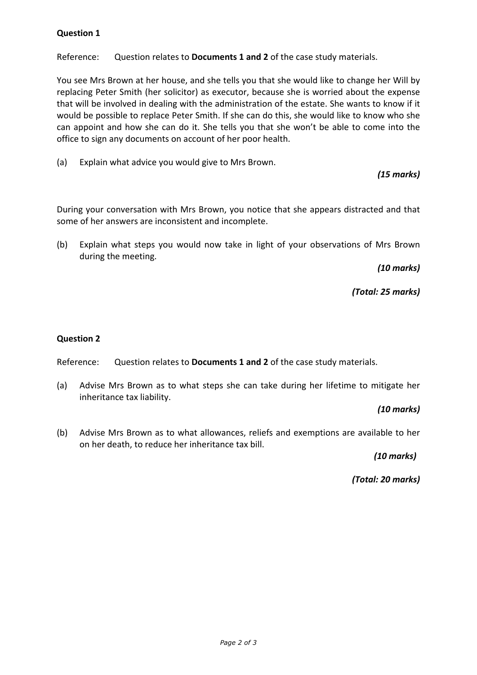# **Question 1**

Reference: Question relates to **Documents 1 and 2** of the case study materials.

You see Mrs Brown at her house, and she tells you that she would like to change her Will by replacing Peter Smith (her solicitor) as executor, because she is worried about the expense that will be involved in dealing with the administration of the estate. She wants to know if it would be possible to replace Peter Smith. If she can do this, she would like to know who she can appoint and how she can do it. She tells you that she won't be able to come into the office to sign any documents on account of her poor health.

(a) Explain what advice you would give to Mrs Brown.

# *(15 marks)*

During your conversation with Mrs Brown, you notice that she appears distracted and that some of her answers are inconsistent and incomplete.

(b) Explain what steps you would now take in light of your observations of Mrs Brown during the meeting.

*(10 marks)*

*(Total: 25 marks)*

## **Question 2**

Reference: Question relates to **Documents 1 and 2** of the case study materials.

(a) Advise Mrs Brown as to what steps she can take during her lifetime to mitigate her inheritance tax liability.

 *(10 marks)* 

(b) Advise Mrs Brown as to what allowances, reliefs and exemptions are available to her on her death, to reduce her inheritance tax bill.

*(10 marks)* 

*(Total: 20 marks)*